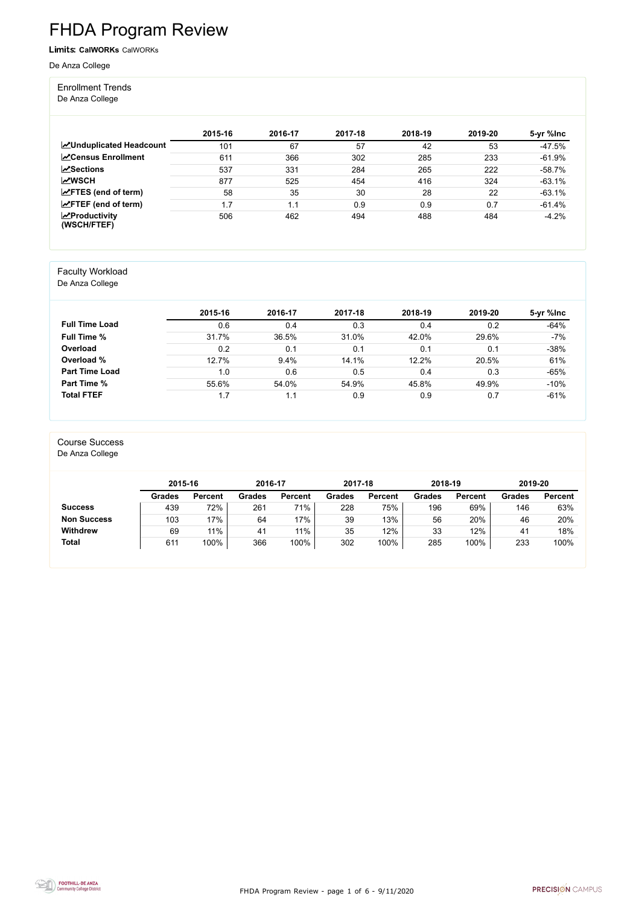FHDA Program Review - page 1 of 6 - 9/11/2020



# FHDA Program Review

Limits: **CalWORKs** CalWORKs

De Anza College

#### Enrollment Trends

De Anza College

|                                                  | 2015-16 | 2016-17 | 2017-18 | 2018-19 | 2019-20 | 5-yr %lnc |
|--------------------------------------------------|---------|---------|---------|---------|---------|-----------|
| <b>ZUnduplicated Headcount</b>                   | 101     | 67      | 57      | 42      | 53      | $-47.5%$  |
| <b>ZCensus Enrollment</b>                        | 611     | 366     | 302     | 285     | 233     | $-61.9%$  |
| $\sqrt{S}$ ections                               | 537     | 331     | 284     | 265     | 222     | $-58.7%$  |
| <b>MWSCH</b>                                     | 877     | 525     | 454     | 416     | 324     | $-63.1%$  |
| $\angle$ FTES (end of term)                      | 58      | 35      | 30      | 28      | 22      | $-63.1%$  |
| $\angle$ FTEF (end of term)                      | 1.7     | 1.1     | 0.9     | 0.9     | 0.7     | $-61.4%$  |
| $\sqrt{\frac{1}{2}}$ Productivity<br>(WSCH/FTEF) | 506     | 462     | 494     | 488     | 484     | $-4.2%$   |

#### Faculty Workload

De Anza College

|                       | 2015-16 | 2016-17 | 2017-18 | 2018-19 | 2019-20 | 5-yr %lnc |
|-----------------------|---------|---------|---------|---------|---------|-----------|
| <b>Full Time Load</b> | 0.6     | 0.4     | 0.3     | 0.4     | 0.2     | $-64%$    |
| <b>Full Time %</b>    | 31.7%   | 36.5%   | 31.0%   | 42.0%   | 29.6%   | $-7%$     |
| Overload              | 0.2     | 0.1     | 0.1     | 0.1     | 0.1     | $-38%$    |
| Overload %            | 12.7%   | 9.4%    | 14.1%   | 12.2%   | 20.5%   | 61%       |
| <b>Part Time Load</b> | 1.0     | 0.6     | 0.5     | 0.4     | 0.3     | $-65%$    |
| <b>Part Time %</b>    | 55.6%   | 54.0%   | 54.9%   | 45.8%   | 49.9%   | $-10%$    |
| <b>Total FTEF</b>     | 1.7     | 1.1     | 0.9     | 0.9     | 0.7     | $-61%$    |

#### Course Success

De Anza College

|                    | 2015-16       |                | 2016-17       |                | 2017-18       |                | 2018-19       |                | 2019-20       |                |
|--------------------|---------------|----------------|---------------|----------------|---------------|----------------|---------------|----------------|---------------|----------------|
|                    | <b>Grades</b> | <b>Percent</b> | <b>Grades</b> | <b>Percent</b> | <b>Grades</b> | <b>Percent</b> | <b>Grades</b> | <b>Percent</b> | <b>Grades</b> | <b>Percent</b> |
| <b>Success</b>     | 439           | 72%            | 261           | 71%            | 228           | 75%            | 196           | 69%            | 146           | 63%            |
| <b>Non Success</b> | 103           | 17%            | 64            | 17%            | 39            | 13%            | 56            | 20%            | 46            | 20%            |
| <b>Withdrew</b>    | 69            | 11%            | 41            | $11\%$         | 35            | 12%            | 33            | 12%            | 41            | 18%            |
| <b>Total</b>       | 611           | 100%           | 366           | 100%           | 302           | 100%           | 285           | 100%           | 233           | 100%           |

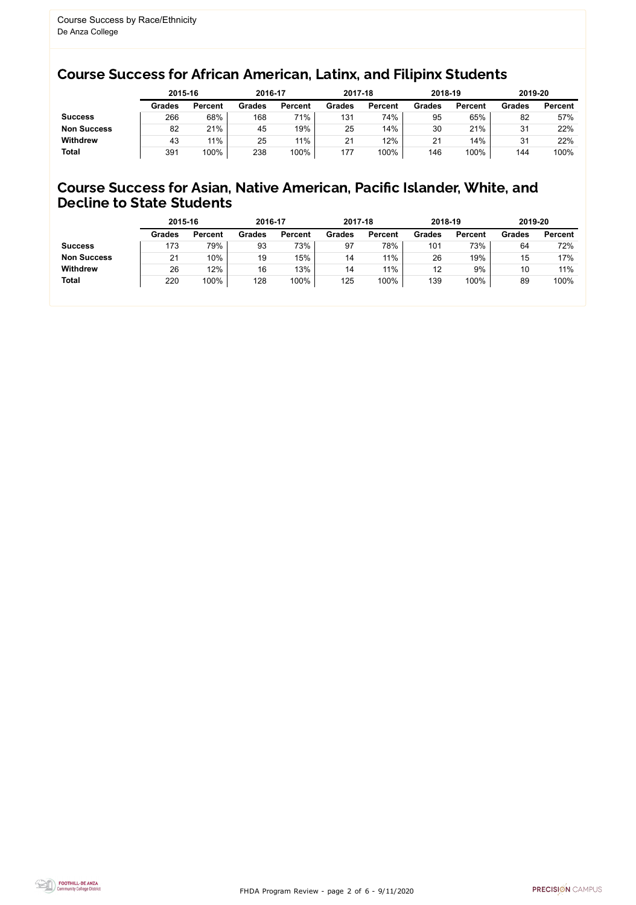FHDA Program Review - page 2 of 6 - 9/11/2020



### Course Success for African American, Latinx, and Filipinx Students

#### Course Success for Asian, Native American, Pacific Islander, White, and Decline to State Students

|                    |               | 2015-16        |               | 2016-17        | 2017-18       |                | 2018-19       |                | 2019-20 |                |
|--------------------|---------------|----------------|---------------|----------------|---------------|----------------|---------------|----------------|---------|----------------|
|                    | <b>Grades</b> | <b>Percent</b> | <b>Grades</b> | <b>Percent</b> | <b>Grades</b> | <b>Percent</b> | <b>Grades</b> | <b>Percent</b> | Grades  | <b>Percent</b> |
| <b>Success</b>     | 266           | 68%            | 168           | 71%            | 131           | 74%            | 95            | 65%            | 82      | 57%            |
| <b>Non Success</b> | 82            | 21%            | 45            | 19%            | 25            | 14%            | 30            | 21%            | 31      | 22%            |
| <b>Withdrew</b>    | 43            | 11%            | 25            | 11%            | 21            | 12%            | 21            | 14%            | 31      | 22%            |
| <b>Total</b>       | 391           | 100%           | 238           | 100%           | 177           | 100%           | 146           | 100%           | 144     | 100%           |

|                    | 2015-16       |                | 2016-17       |                | 2017-18       |                | 2018-19       |                | 2019-20       |                |
|--------------------|---------------|----------------|---------------|----------------|---------------|----------------|---------------|----------------|---------------|----------------|
|                    | <b>Grades</b> | <b>Percent</b> | <b>Grades</b> | <b>Percent</b> | <b>Grades</b> | <b>Percent</b> | <b>Grades</b> | <b>Percent</b> | <b>Grades</b> | <b>Percent</b> |
| <b>Success</b>     | 173           | 79%            | 93            | 73%            | 97            | 78%            | 101           | 73%            | 64            | 72%            |
| <b>Non Success</b> | 21            | 10%            | 19            | 15%            | 14            | 11%            | 26            | 19%            | 15            | 17%            |
| <b>Withdrew</b>    | 26            | 12%            | 16            | 13%            | 14            | 11%            | 12            | 9%             | 10            | 11%            |
| <b>Total</b>       | 220           | 100%           | 128           | 100%           | 125           | 100%           | 139           | 100%           | 89            | 100%           |
|                    |               |                |               |                |               |                |               |                |               |                |

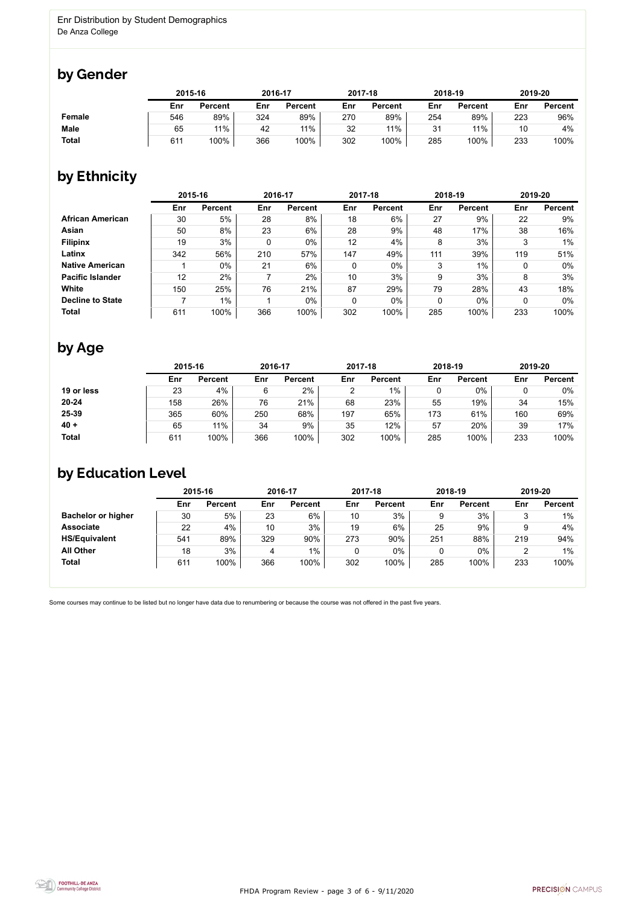FHDA Program Review - page 3 of 6 - 9/11/2020



Some courses may continue to be listed but no longer have data due to renumbering or because the course was not offered in the past five years.



### by Gender

|              | 2015-16 |                | 2016-17 |                | 2017-18 |                | 2018-19 |                | 2019-20 |                |
|--------------|---------|----------------|---------|----------------|---------|----------------|---------|----------------|---------|----------------|
|              | Enr     | <b>Percent</b> | Enr     | <b>Percent</b> | Enr     | <b>Percent</b> | Enr     | <b>Percent</b> | Enr     | <b>Percent</b> |
| Female       | 546     | 89%            | 324     | 89%            | 270     | 89%            | 254     | 89%            | 223     | 96%            |
| <b>Male</b>  | 65      | 11%            | 42      | 11%            | 32      | 11%            | 31      | 11%            | 10      | 4%             |
| <b>Total</b> | 611     | 100%           | 366     | 100%           | 302     | 100%           | 285     | 100%           | 233     | 100%           |

### by Ethnicity

|                         | 2015-16 |                |     | 2016-17        |     | 2017-18        | 2018-19 |                | 2019-20 |                |
|-------------------------|---------|----------------|-----|----------------|-----|----------------|---------|----------------|---------|----------------|
|                         | Enr     | <b>Percent</b> | Enr | <b>Percent</b> | Enr | <b>Percent</b> | Enr     | <b>Percent</b> | Enr     | <b>Percent</b> |
| <b>African American</b> | 30      | 5%             | 28  | 8%             | 18  | 6%             | 27      | 9%             | 22      | 9%             |
| Asian                   | 50      | 8%             | 23  | $6\%$          | 28  | 9%             | 48      | 17%            | 38      | 16%            |
| <b>Filipinx</b>         | 19      | 3%             | 0   | 0%             | 12  | 4%             | 8       | 3%             | 3       | $1\%$          |
| Latinx                  | 342     | 56%            | 210 | 57%            | 147 | 49%            | 111     | 39%            | 119     | 51%            |
| <b>Native American</b>  |         | $0\%$          | 21  | 6%             | 0   | $0\%$          | 3       | $1\%$          | 0       | $0\%$          |
| <b>Pacific Islander</b> | 12      | 2%             |     | 2%             | 10  | 3%             | 9       | 3%             | 8       | 3%             |
| White                   | 150     | 25%            | 76  | 21%            | 87  | 29%            | 79      | 28%            | 43      | 18%            |
| <b>Decline to State</b> |         | $1\%$          |     | 0%             | 0   | $0\%$          | 0       | $0\%$          |         | $0\%$          |
| <b>Total</b>            | 611     | 100%           | 366 | 100%           | 302 | 100%           | 285     | 100%           | 233     | 100%           |

## by Age

|              | 2015-16 |                |     | 2016-17        |     | 2017-18        | 2018-19 |                | 2019-20 |                |
|--------------|---------|----------------|-----|----------------|-----|----------------|---------|----------------|---------|----------------|
|              | Enr     | <b>Percent</b> | Enr | <b>Percent</b> | Enr | <b>Percent</b> | Enr     | <b>Percent</b> | Enr     | <b>Percent</b> |
| 19 or less   | 23      | 4%             | 6   | 2%             | ◠   | $1\%$          |         | $0\%$          |         | 0%             |
| $20 - 24$    | 158     | 26%            | 76  | 21%            | 68  | 23%            | 55      | 19%            | 34      | 15%            |
| 25-39        | 365     | 60%            | 250 | 68%            | 197 | 65%            | 173     | 61%            | 160     | 69%            |
| $40 +$       | 65      | 11%            | 34  | 9%             | 35  | 12%            | 57      | 20%            | 39      | 17%            |
| <b>Total</b> | 611     | 100%           | 366 | 100%           | 302 | 100%           | 285     | 100%           | 233     | 100%           |

### by Education Level

|                           | 2015-16 |                | 2016-17 |                |     | 2017-18        | 2018-19 |                | 2019-20 |                |
|---------------------------|---------|----------------|---------|----------------|-----|----------------|---------|----------------|---------|----------------|
|                           | Enr     | <b>Percent</b> | Enr     | <b>Percent</b> | Enr | <b>Percent</b> | Enr     | <b>Percent</b> | Enr     | <b>Percent</b> |
| <b>Bachelor or higher</b> | 30      | 5%             | 23      | 6%             | 10  | 3%             |         | 3%             |         | $1\%$          |
| <b>Associate</b>          | 22      | 4%             | 10      | 3%             | 19  | 6%             | 25      | 9%             |         | 4%             |
| <b>HS/Equivalent</b>      | 541     | 89%            | 329     | 90%            | 273 | 90%            | 251     | 88%            | 219     | 94%            |
| <b>All Other</b>          | 18      | 3%             | 4       | $1\%$          |     | 0%             |         | $0\%$          |         | $1\%$          |
| <b>Total</b>              | 611     | 100%           | 366     | 100%           | 302 | 100%           | 285     | 100%           | 233     | 100%           |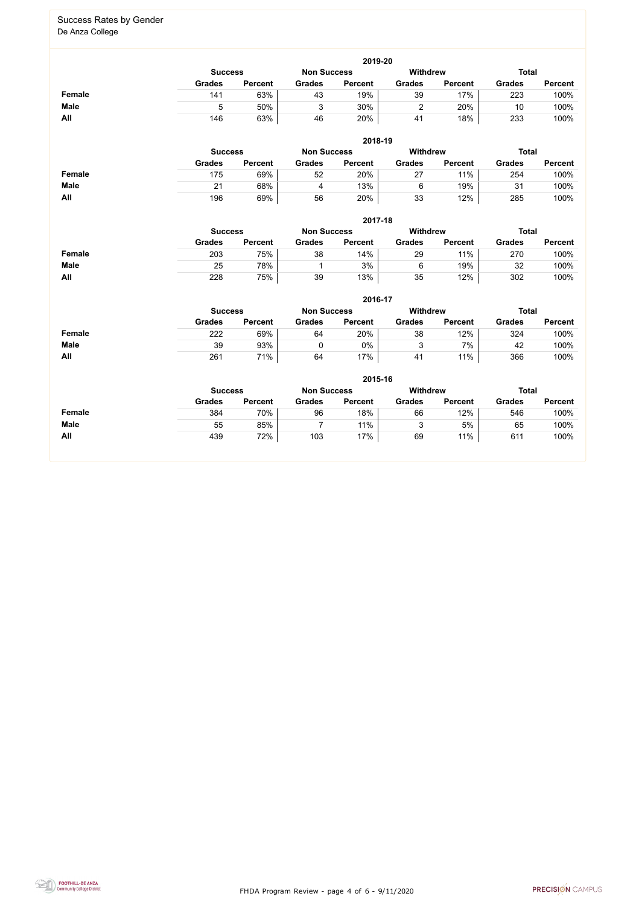FHDA Program Review - page 4 of 6 - 9/11/2020



#### Success Rates by Gender De Anza College

**2019-20 Success Non Success Withdrew Total Grades Percent Grades Percent Grades Percent Grades Percent Female** 141 63% 43 19% 39 17% 223 100% **Male** 5 50% | 3 30% | 2 20% | 10 100% **All** 146 63% 46 20% 41 18% 233 100%

|               | 2018-19        |                |               |                                       |               |                |               |                |  |  |  |  |
|---------------|----------------|----------------|---------------|---------------------------------------|---------------|----------------|---------------|----------------|--|--|--|--|
|               | <b>Success</b> |                |               | <b>Withdrew</b><br><b>Non Success</b> |               |                | <b>Total</b>  |                |  |  |  |  |
|               | <b>Grades</b>  | <b>Percent</b> | <b>Grades</b> | <b>Percent</b>                        | <b>Grades</b> | <b>Percent</b> | <b>Grades</b> | <b>Percent</b> |  |  |  |  |
| <b>Female</b> | 175            | 69%            | 52            | 20%                                   | 27            | 11%            | 254           | 100%           |  |  |  |  |
| <b>Male</b>   | 21             | 68%            | 4             | 13%                                   | 6             | 19%            | 31            | 100%           |  |  |  |  |
| All           | 196            | 69%            | 56            | 20%                                   | 33            | 12%            | 285           | 100%           |  |  |  |  |

|               | 2017-18                              |                |               |                |                 |                |               |                |  |  |  |  |  |
|---------------|--------------------------------------|----------------|---------------|----------------|-----------------|----------------|---------------|----------------|--|--|--|--|--|
|               | <b>Non Success</b><br><b>Success</b> |                |               |                | <b>Withdrew</b> |                | <b>Total</b>  |                |  |  |  |  |  |
|               | <b>Grades</b>                        | <b>Percent</b> | <b>Grades</b> | <b>Percent</b> | <b>Grades</b>   | <b>Percent</b> | <b>Grades</b> | <b>Percent</b> |  |  |  |  |  |
| <b>Female</b> | 203                                  | 75%            | 38            | 14%            | 29              | 11%            | 270           | 100%           |  |  |  |  |  |
| <b>Male</b>   | 25                                   | 78%            |               | 3%             | 6               | 19%            | 32            | 100%           |  |  |  |  |  |
| <b>All</b>    | 228                                  | 75%            | 39            | 13%            | 35              | 12%            | 302           | 100%           |  |  |  |  |  |

|             | 2016-17        |                    |                 |                |               |                |               |                |  |  |  |  |  |
|-------------|----------------|--------------------|-----------------|----------------|---------------|----------------|---------------|----------------|--|--|--|--|--|
|             | <b>Success</b> | <b>Non Success</b> | <b>Withdrew</b> |                | <b>Total</b>  |                |               |                |  |  |  |  |  |
|             | <b>Grades</b>  | <b>Percent</b>     | <b>Grades</b>   | <b>Percent</b> | <b>Grades</b> | <b>Percent</b> | <b>Grades</b> | <b>Percent</b> |  |  |  |  |  |
| Female      | 222            | 69%                | 64              | 20%            | 38            | 12%            | 324           | 100%           |  |  |  |  |  |
| <b>Male</b> | 39             | 93%                |                 | 0%             |               | 7%             | 42            | 100%           |  |  |  |  |  |
| All         | 261            | 71%                | 64              | 17%            | 41            | 11%            | 366           | 100%           |  |  |  |  |  |

|               | 2015-16        |                |                    |                |                 |                |               |                |  |
|---------------|----------------|----------------|--------------------|----------------|-----------------|----------------|---------------|----------------|--|
|               | <b>Success</b> |                | <b>Non Success</b> |                | <b>Withdrew</b> |                | <b>Total</b>  |                |  |
|               | <b>Grades</b>  | <b>Percent</b> | <b>Grades</b>      | <b>Percent</b> | <b>Grades</b>   | <b>Percent</b> | <b>Grades</b> | <b>Percent</b> |  |
| <b>Female</b> | 384            | 70%            | 96                 | 18%            | 66              | 12%            | 546           | 100%           |  |
| <b>Male</b>   | 55             | 85%            |                    | 11%            |                 | 5%             | 65            | 100%           |  |
| All           | 439            | 72%            | 103                | 17%            | 69              | 11%            | 611           | 100%           |  |

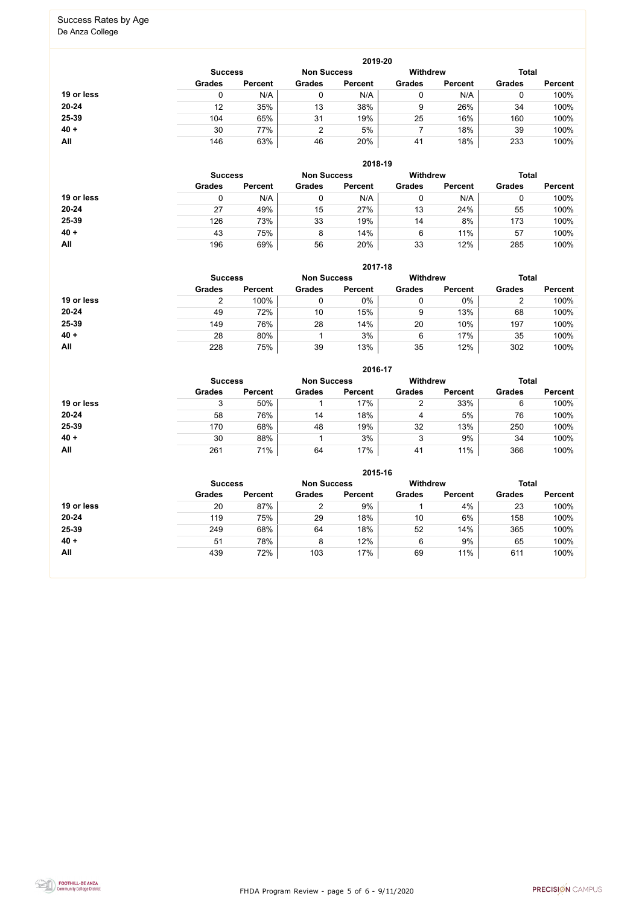FHDA Program Review - page 5 of 6 - 9/11/2020



# Success Rates by Age

De Anza College

|            | 2019-20        |                |               |                    |               |                 |               |                |  |
|------------|----------------|----------------|---------------|--------------------|---------------|-----------------|---------------|----------------|--|
|            | <b>Success</b> |                |               | <b>Non Success</b> |               | <b>Withdrew</b> | <b>Total</b>  |                |  |
|            | <b>Grades</b>  | <b>Percent</b> | <b>Grades</b> | <b>Percent</b>     | <b>Grades</b> | <b>Percent</b>  | <b>Grades</b> | <b>Percent</b> |  |
| 19 or less |                | N/A            | 0             | N/A                | 0             | N/A             | U             | 100%           |  |
| $20 - 24$  | 12             | 35%            | 13            | 38%                | 9             | 26%             | 34            | 100%           |  |
| 25-39      | 104            | 65%            | 31            | 19%                | 25            | 16%             | 160           | 100%           |  |
| $40 +$     | 30             | 77%            | ົ             | 5%                 |               | 18%             | 39            | 100%           |  |
| All        | 146            | 63%            | 46            | 20%                | 41            | 18%             | 233           | 100%           |  |

|            | 2018-19                              |                |               |                |                 |                |               |                |  |  |
|------------|--------------------------------------|----------------|---------------|----------------|-----------------|----------------|---------------|----------------|--|--|
|            | <b>Non Success</b><br><b>Success</b> |                |               |                | <b>Withdrew</b> |                | <b>Total</b>  |                |  |  |
|            | <b>Grades</b>                        | <b>Percent</b> | <b>Grades</b> | <b>Percent</b> | <b>Grades</b>   | <b>Percent</b> | <b>Grades</b> | <b>Percent</b> |  |  |
| 19 or less |                                      | N/A            |               | N/A            | 0               | N/A            |               | 100%           |  |  |
| $20 - 24$  | 27                                   | 49%            | 15            | 27%            | 13              | 24%            | 55            | 100%           |  |  |
| 25-39      | 126                                  | 73%            | 33            | 19%            | 14              | 8%             | 173           | 100%           |  |  |
| $40 +$     | 43                                   | 75%            | 8             | 14%            | 6               | 11%            | 57            | 100%           |  |  |
| All        | 196                                  | 69%            | 56            | 20%            | 33              | 12%            | 285           | 100%           |  |  |

|            | 2017-18                                                                 |                |               |                |               |                |               |                |  |  |
|------------|-------------------------------------------------------------------------|----------------|---------------|----------------|---------------|----------------|---------------|----------------|--|--|
|            | <b>Withdrew</b><br><b>Total</b><br><b>Non Success</b><br><b>Success</b> |                |               |                |               |                |               |                |  |  |
|            | <b>Grades</b>                                                           | <b>Percent</b> | <b>Grades</b> | <b>Percent</b> | <b>Grades</b> | <b>Percent</b> | <b>Grades</b> | <b>Percent</b> |  |  |
| 19 or less |                                                                         | 100%           | 0             | 0%             | 0             | 0%             | າ<br>▵        | 100%           |  |  |
| $20 - 24$  | 49                                                                      | 72%            | 10            | 15%            | 9             | 13%            | 68            | 100%           |  |  |
| 25-39      | 149                                                                     | 76%            | 28            | 14%            | 20            | 10%            | 197           | 100%           |  |  |
| $40 +$     | 28                                                                      | 80%            |               | 3%             | 6             | 17%            | 35            | 100%           |  |  |
| All        | 228                                                                     | 75%            | 39            | 13%            | 35            | 12%            | 302           | 100%           |  |  |

|            | 2016-17                              |                |               |                |               |                |               |                |  |  |
|------------|--------------------------------------|----------------|---------------|----------------|---------------|----------------|---------------|----------------|--|--|
|            | <b>Non Success</b><br><b>Success</b> |                |               | Withdrew       |               |                | <b>Total</b>  |                |  |  |
|            | <b>Grades</b>                        | <b>Percent</b> | <b>Grades</b> | <b>Percent</b> | <b>Grades</b> | <b>Percent</b> | <b>Grades</b> | <b>Percent</b> |  |  |
| 19 or less | 3                                    | 50%            |               | 17%            | ∠             | 33%            | 6             | 100%           |  |  |
| $20 - 24$  | 58                                   | 76%            | 14            | 18%            | 4             | 5%             | 76            | 100%           |  |  |
| 25-39      | 170                                  | 68%            | 48            | 19%            | 32            | 13%            | 250           | 100%           |  |  |
| $40 +$     | 30                                   | 88%            |               | 3%             | 3             | 9%             | 34            | 100%           |  |  |
| All        | 261                                  | 71%            | 64            | 17%            | 41            | 11%            | 366           | 100%           |  |  |

|            |                                      |                |               | 2015-16        |                 |                |               |                |
|------------|--------------------------------------|----------------|---------------|----------------|-----------------|----------------|---------------|----------------|
|            | <b>Non Success</b><br><b>Success</b> |                |               |                | <b>Withdrew</b> |                | <b>Total</b>  |                |
|            | <b>Grades</b>                        | <b>Percent</b> | <b>Grades</b> | <b>Percent</b> | <b>Grades</b>   | <b>Percent</b> | <b>Grades</b> | <b>Percent</b> |
| 19 or less | 20                                   | 87%            | ົ             | 9%             |                 | 4%             | 23            | 100%           |
| $20 - 24$  | 119                                  | 75%            | 29            | 18%            | 10              | 6%             | 158           | 100%           |
| 25-39      | 249                                  | 68%            | 64            | 18%            | 52              | 14%            | 365           | 100%           |
| $40 +$     | 51                                   | 78%            | 8             | 12%            | 6               | 9%             | 65            | 100%           |
| All        | 439                                  | 72%            | 103           | 17%            | 69              | 11%            | 611           | 100%           |